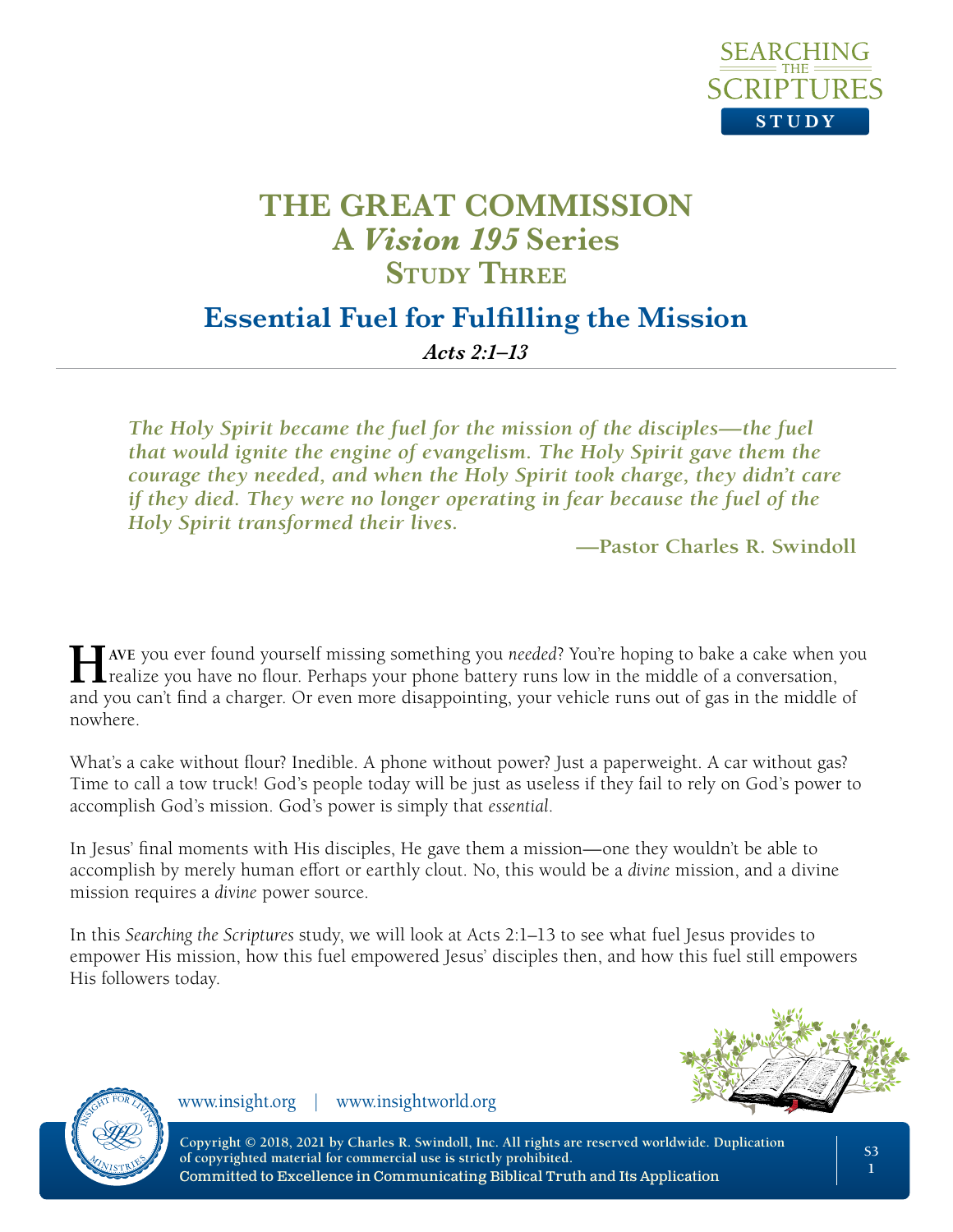

#### **Essential Fuel for Fulfilling the Mission**

*Acts 2:1–13*

*The Holy Spirit became the fuel for the mission of the disciples—the fuel that would ignite the engine of evangelism. The Holy Spirit gave them the courage they needed, and when the Holy Spirit took charge, they didn't care if they died. They were no longer operating in fear because the fuel of the Holy Spirit transformed their lives.*

**—Pastor Charles R. Swindoll**

**Have** you ever found yourself missing something you *needed*? You're hoping to bake a cake when you **L** realize you have no flour. Perhaps your phone battery runs low in the middle of a conversation, and you can't find a charger. Or even more disappointing, your vehicle runs out of gas in the middle of nowhere.

What's a cake without flour? Inedible. A phone without power? Just a paperweight. A car without gas? Time to call a tow truck! God's people today will be just as useless if they fail to rely on God's power to accomplish God's mission. God's power is simply that *essential*.

In Jesus' final moments with His disciples, He gave them a mission—one they wouldn't be able to accomplish by merely human effort or earthly clout. No, this would be a *divine* mission, and a divine mission requires a *divine* power source.

In this *Searching the Scriptures* study, we will look at Acts 2:1–13 to see what fuel Jesus provides to empower His mission, how this fuel empowered Jesus' disciples then, and how this fuel still empowers His followers today.





www.insight.org | www.insightworld.org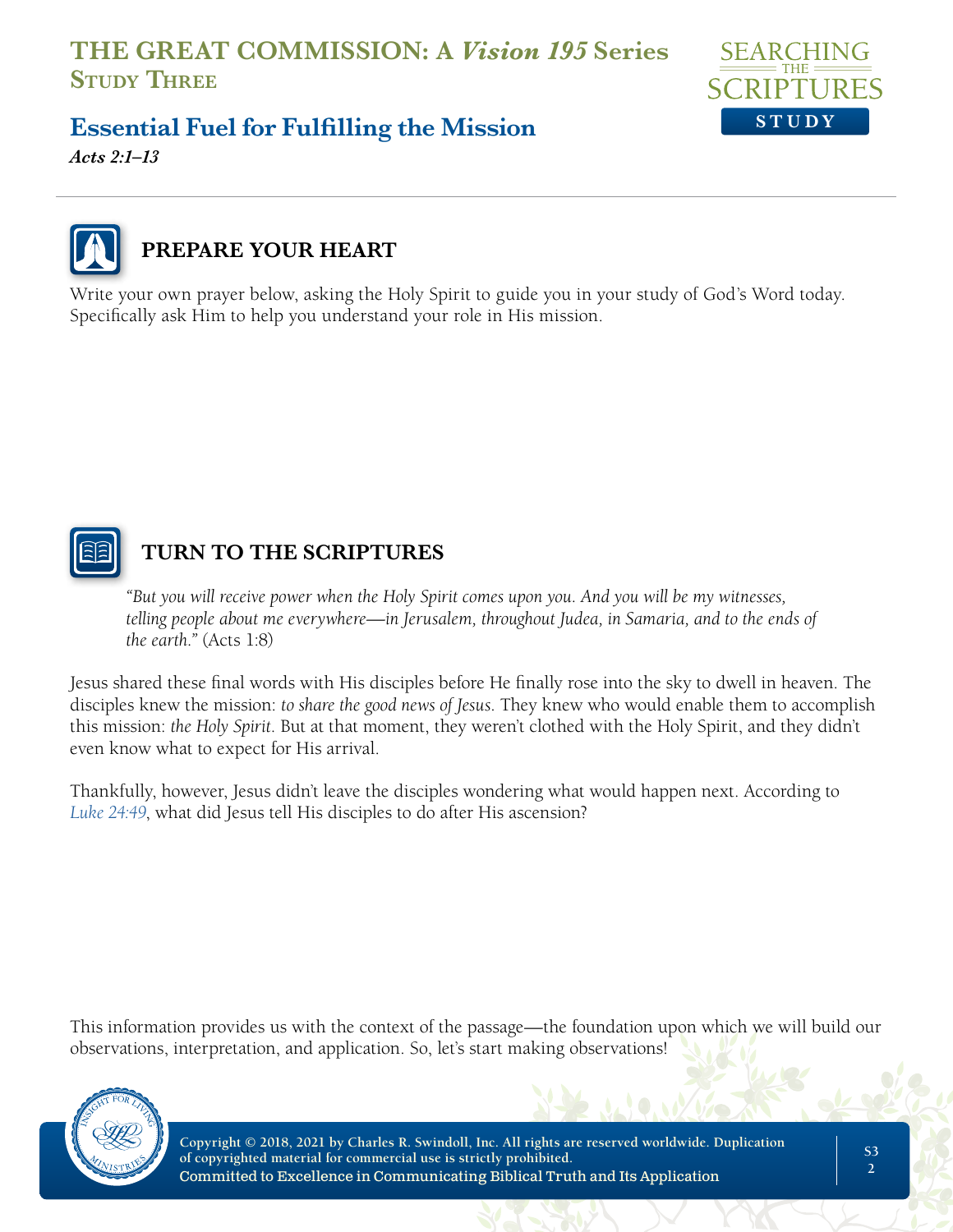

# **Essential Fuel for Fulfilling the Mission**

*Acts 2:1–13*



## **PREPARE YOUR HEART**

Write your own prayer below, asking the Holy Spirit to guide you in your study of God's Word today. Specifically ask Him to help you understand your role in His mission.



#### **TURN TO THE SCRIPTURES**

*"But you will receive power when the Holy Spirit comes upon you. And you will be my witnesses, telling people about me everywhere—in Jerusalem, throughout Judea, in Samaria, and to the ends of the earth."* (Acts 1:8)

Jesus shared these final words with His disciples before He finally rose into the sky to dwell in heaven. The disciples knew the mission: *to share the good news of Jesus*. They knew who would enable them to accomplish this mission: *the Holy Spirit*. But at that moment, they weren't clothed with the Holy Spirit, and they didn't even know what to expect for His arrival.

Thankfully, however, Jesus didn't leave the disciples wondering what would happen next. According to *Luke 24:49*, what did Jesus tell His disciples to do after His ascension?

This information provides us with the context of the passage—the foundation upon which we will build our observations, interpretation, and application. So, let's start making observations!

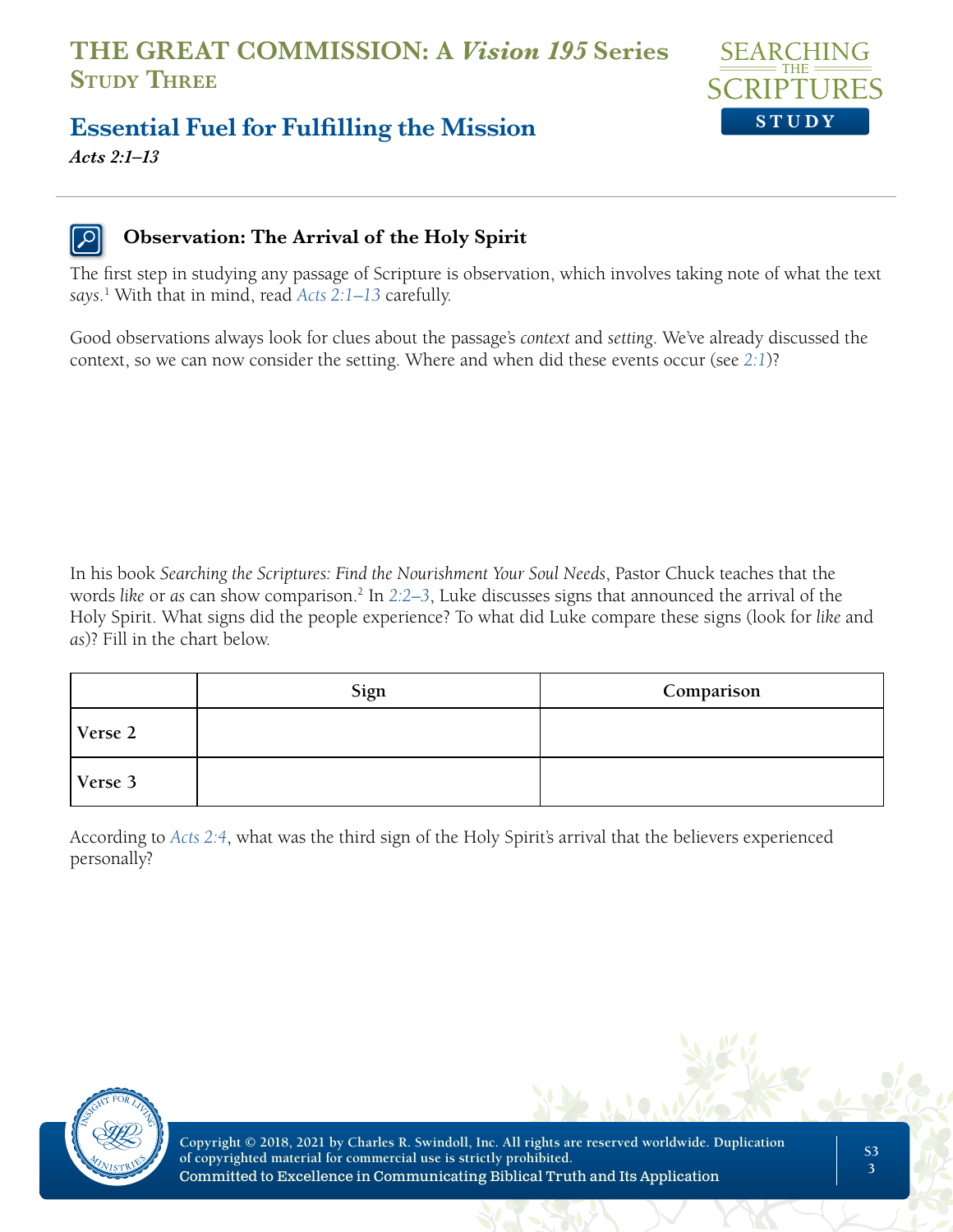

## **Essential Fuel for Fulfilling the Mission**

*Acts 2:1–13*

#### **Observation: The Arrival of the Holy Spirit**

The first step in studying any passage of Scripture is observation, which involves taking note of what the text *says*. 1 With that in mind, read *Acts 2:1–13* carefully.

Good observations always look for clues about the passage's *context* and *setting*. We've already discussed the context, so we can now consider the setting. Where and when did these events occur (see *2:1*)?

In his book *Searching the Scriptures: Find the Nourishment Your Soul Needs*, Pastor Chuck teaches that the words *like* or *as* can show comparison.2 In *2:2–3*, Luke discusses signs that announced the arrival of the Holy Spirit. What signs did the people experience? To what did Luke compare these signs (look for *like* and *as*)? Fill in the chart below.

|         | Sign | Comparison |
|---------|------|------------|
| Verse 2 |      |            |
| Verse 3 |      |            |

According to *Acts 2:4*, what was the third sign of the Holy Spirit's arrival that the believers experienced personally?

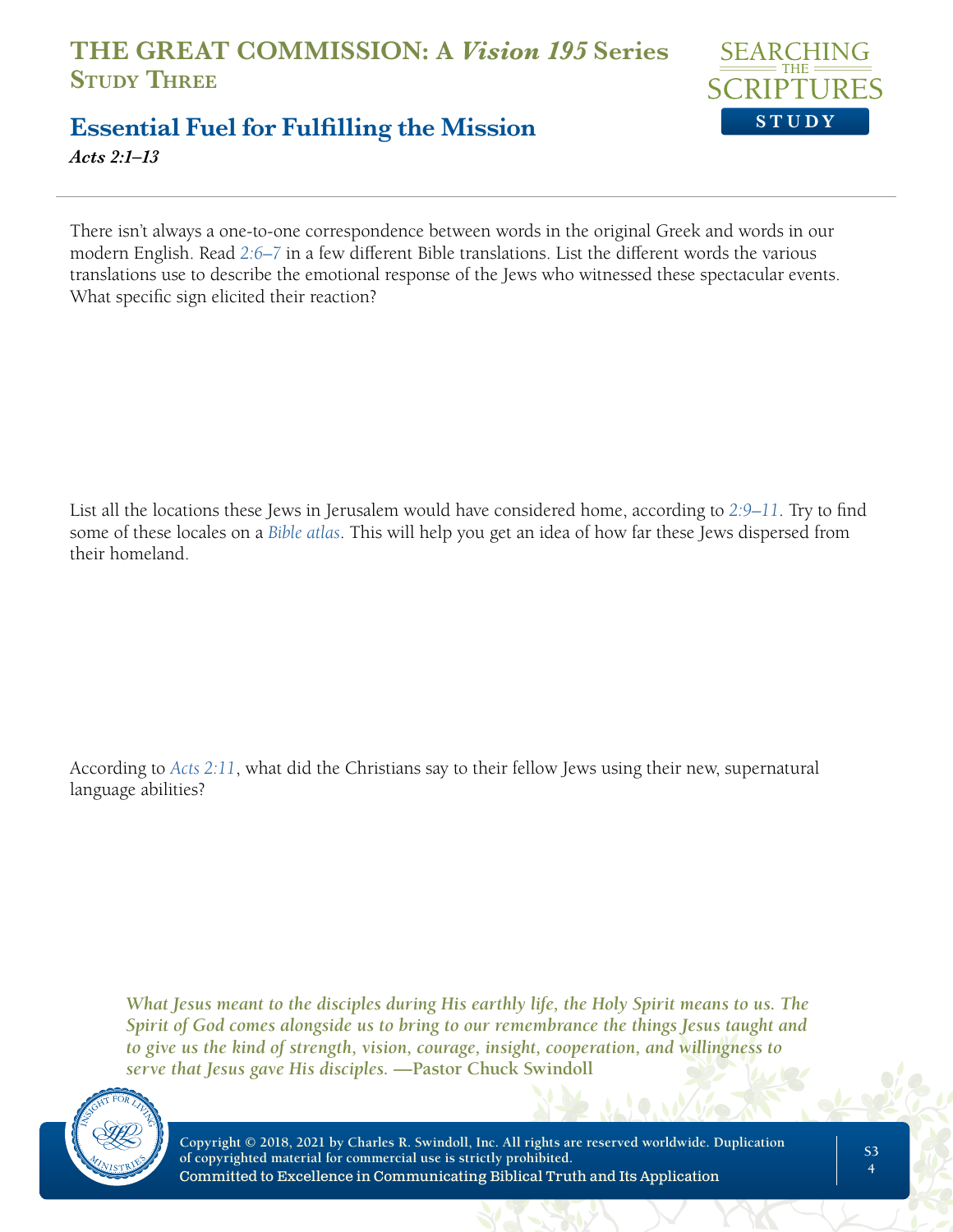

#### **Essential Fuel for Fulfilling the Mission** *Acts 2:1–13*

There isn't always a one-to-one correspondence between words in the original Greek and words in our modern English. Read *2:6–7* in a few different Bible translations. List the different words the various translations use to describe the emotional response of the Jews who witnessed these spectacular events. What specific sign elicited their reaction?

List all the locations these Jews in Jerusalem would have considered home, according to *2:9–11*. Try to find some of these locales on a *Bible atlas*. This will help you get an idea of how far these Jews dispersed from their homeland.

According to *Acts 2:11*, what did the Christians say to their fellow Jews using their new, supernatural language abilities?

*What Jesus meant to the disciples during His earthly life, the Holy Spirit means to us. The Spirit of God comes alongside us to bring to our remembrance the things Jesus taught and to give us the kind of strength, vision, courage, insight, cooperation, and willingness to serve that Jesus gave His disciples.* **—Pastor Chuck Swindoll**

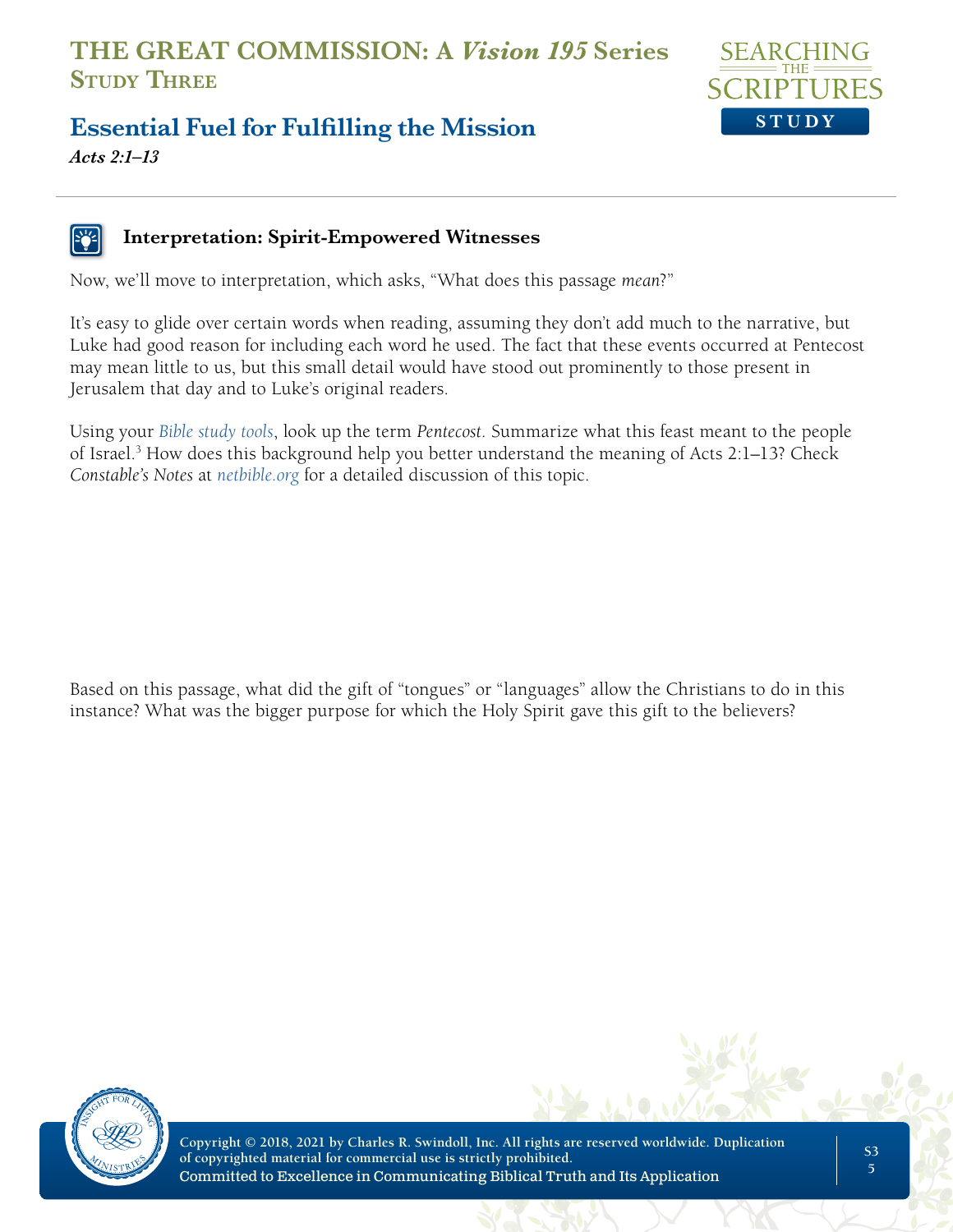

# **Essential Fuel for Fulfilling the Mission**

*Acts 2:1–13*

#### **Interpretation: Spirit-Empowered Witnesses**

Now, we'll move to interpretation, which asks, "What does this passage *mean*?"

It's easy to glide over certain words when reading, assuming they don't add much to the narrative, but Luke had good reason for including each word he used. The fact that these events occurred at Pentecost may mean little to us, but this small detail would have stood out prominently to those present in Jerusalem that day and to Luke's original readers.

Using your *Bible study tools*, look up the term *Pentecost*. Summarize what this feast meant to the people of Israel.<sup>3</sup> How does this background help you better understand the meaning of Acts 2:1–13? Check *Constable's Notes* at *netbible.org* for a detailed discussion of this topic.

Based on this passage, what did the gift of "tongues" or "languages" allow the Christians to do in this instance? What was the bigger purpose for which the Holy Spirit gave this gift to the believers?

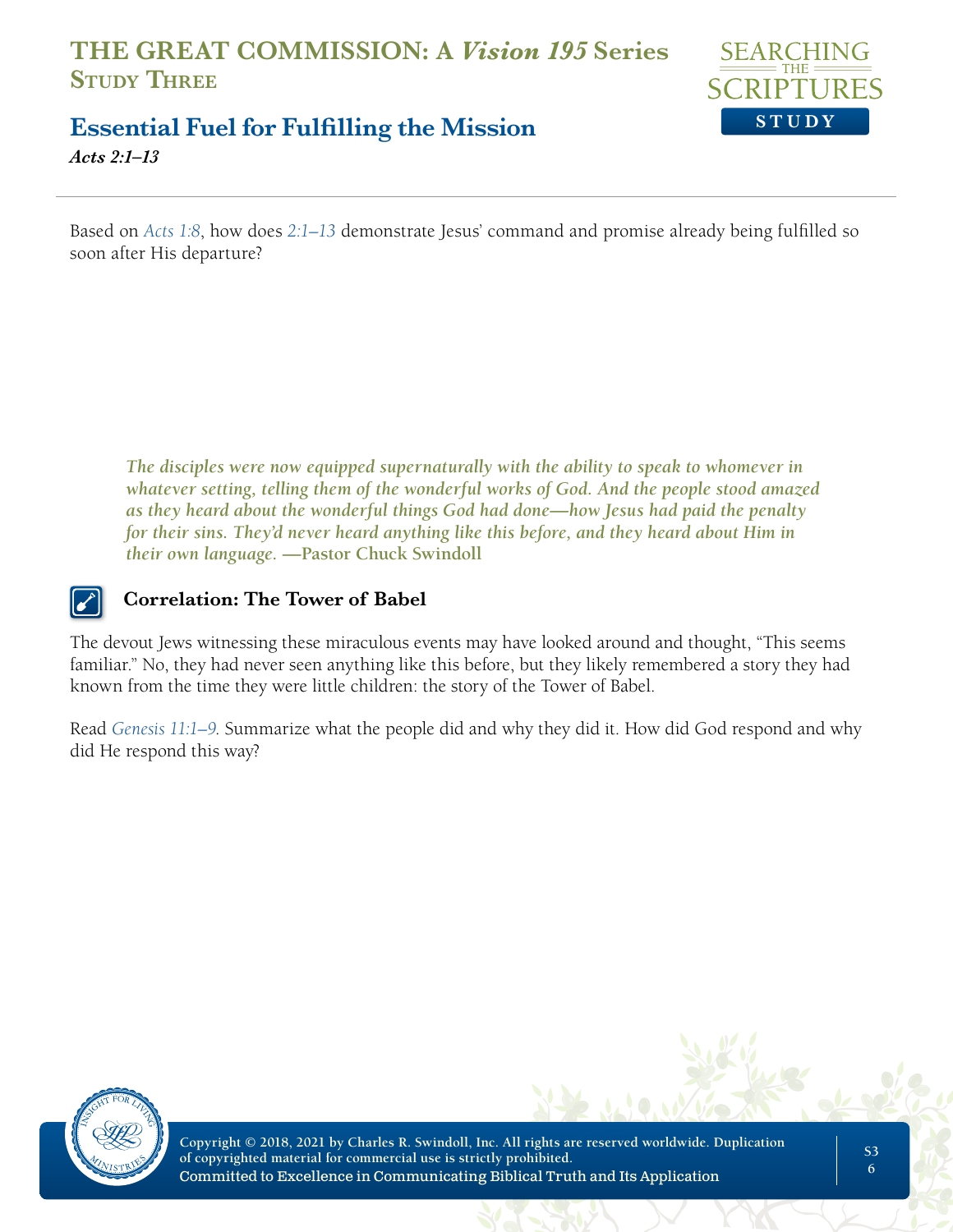

### **Essential Fuel for Fulfilling the Mission**

*Acts 2:1–13*

Based on *Acts 1:8*, how does *2:1–13* demonstrate Jesus' command and promise already being fulfilled so soon after His departure?

*The disciples were now equipped supernaturally with the ability to speak to whomever in whatever setting, telling them of the wonderful works of God. And the people stood amazed as they heard about the wonderful things God had done—how Jesus had paid the penalty for their sins. They'd never heard anything like this before, and they heard about Him in their own language.* **—Pastor Chuck Swindoll**

#### **Correlation: The Tower of Babel**

The devout Jews witnessing these miraculous events may have looked around and thought, "This seems familiar." No, they had never seen anything like this before, but they likely remembered a story they had known from the time they were little children: the story of the Tower of Babel.

Read *Genesis 11:1–9*. Summarize what the people did and why they did it. How did God respond and why did He respond this way?

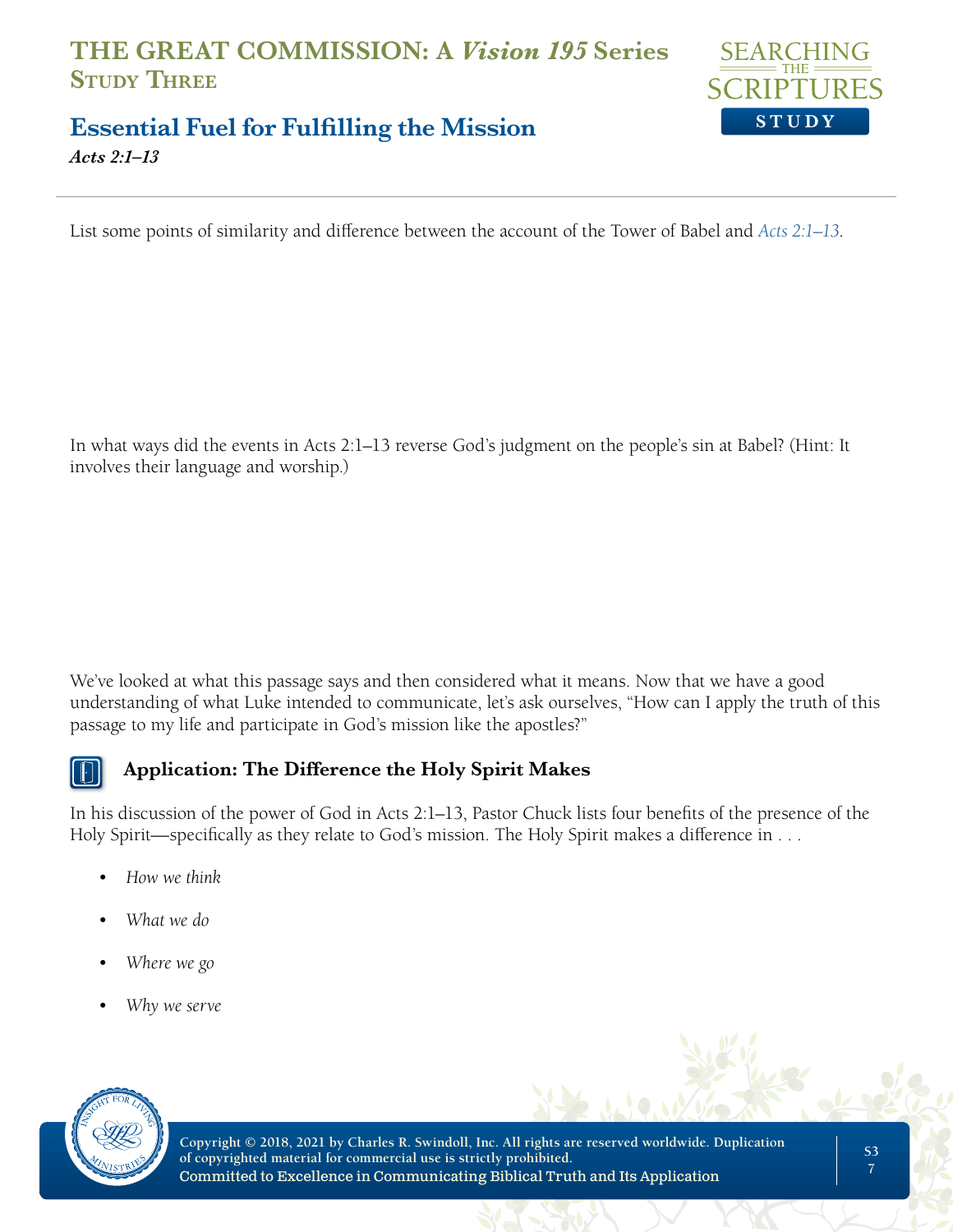

#### **Essential Fuel for Fulfilling the Mission** *Acts 2:1–13*

List some points of similarity and difference between the account of the Tower of Babel and *Acts 2:1–13*.

In what ways did the events in Acts 2:1–13 reverse God's judgment on the people's sin at Babel? (Hint: It involves their language and worship.)

We've looked at what this passage says and then considered what it means. Now that we have a good understanding of what Luke intended to communicate, let's ask ourselves, "How can I apply the truth of this passage to my life and participate in God's mission like the apostles?"



#### **Application: The Difference the Holy Spirit Makes**

In his discussion of the power of God in Acts 2:1–13, Pastor Chuck lists four benefits of the presence of the Holy Spirit—specifically as they relate to God's mission. The Holy Spirit makes a difference in . . .

- *• How we think*
- *• What we do*
- *• Where we go*
- *• Why we serve*

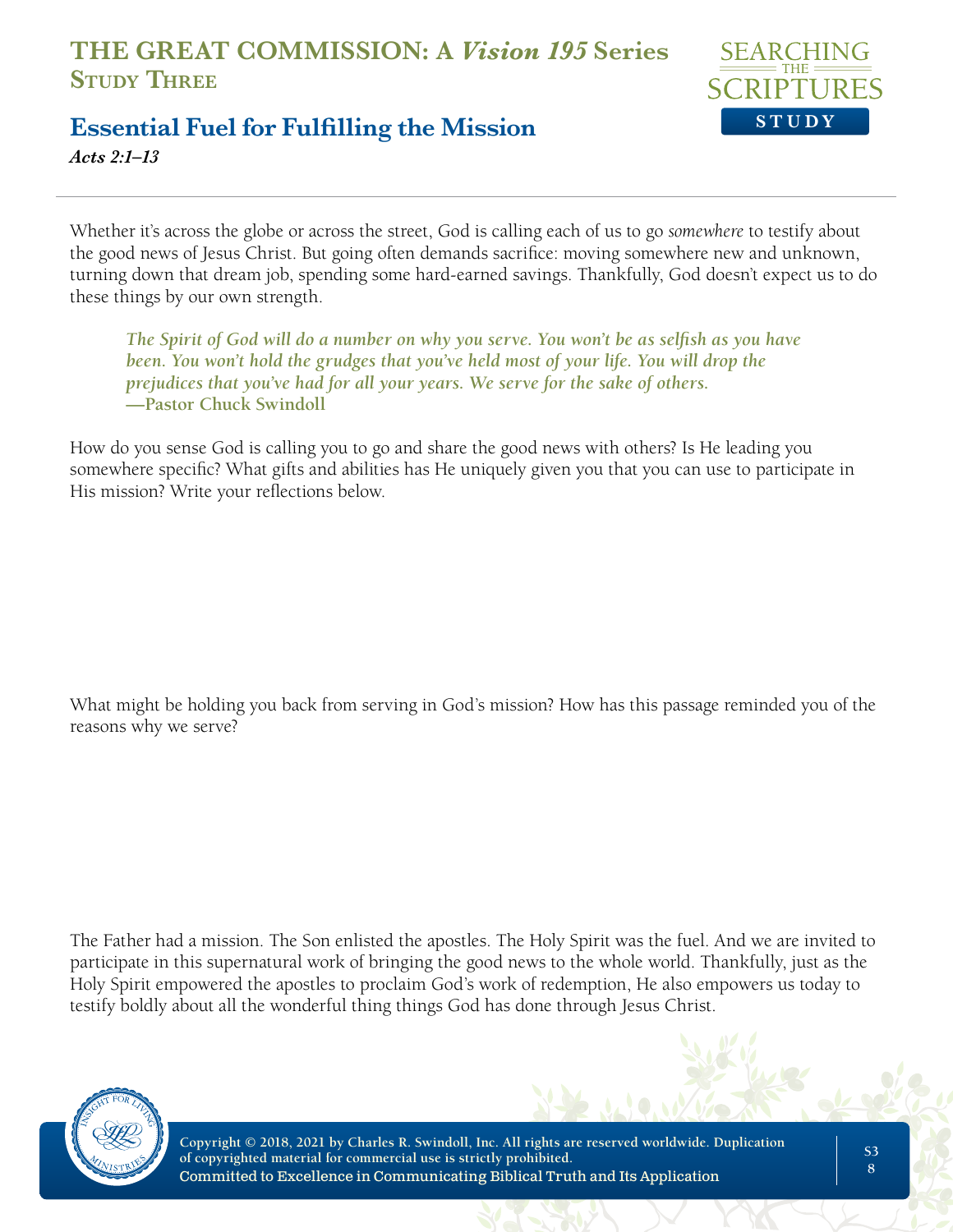

## **Essential Fuel for Fulfilling the Mission**

*Acts 2:1–13*

Whether it's across the globe or across the street, God is calling each of us to go *somewhere* to testify about the good news of Jesus Christ. But going often demands sacrifice: moving somewhere new and unknown, turning down that dream job, spending some hard-earned savings. Thankfully, God doesn't expect us to do these things by our own strength.

*The Spirit of God will do a number on why you serve. You won't be as selfish as you have*  been. You won't hold the grudges that you've held most of your life. You will drop the *prejudices that you've had for all your years. We serve for the sake of others.*  **—Pastor Chuck Swindoll**

How do you sense God is calling you to go and share the good news with others? Is He leading you somewhere specific? What gifts and abilities has He uniquely given you that you can use to participate in His mission? Write your reflections below.

What might be holding you back from serving in God's mission? How has this passage reminded you of the reasons why we serve?

The Father had a mission. The Son enlisted the apostles. The Holy Spirit was the fuel. And we are invited to participate in this supernatural work of bringing the good news to the whole world. Thankfully, just as the Holy Spirit empowered the apostles to proclaim God's work of redemption, He also empowers us today to testify boldly about all the wonderful thing things God has done through Jesus Christ.